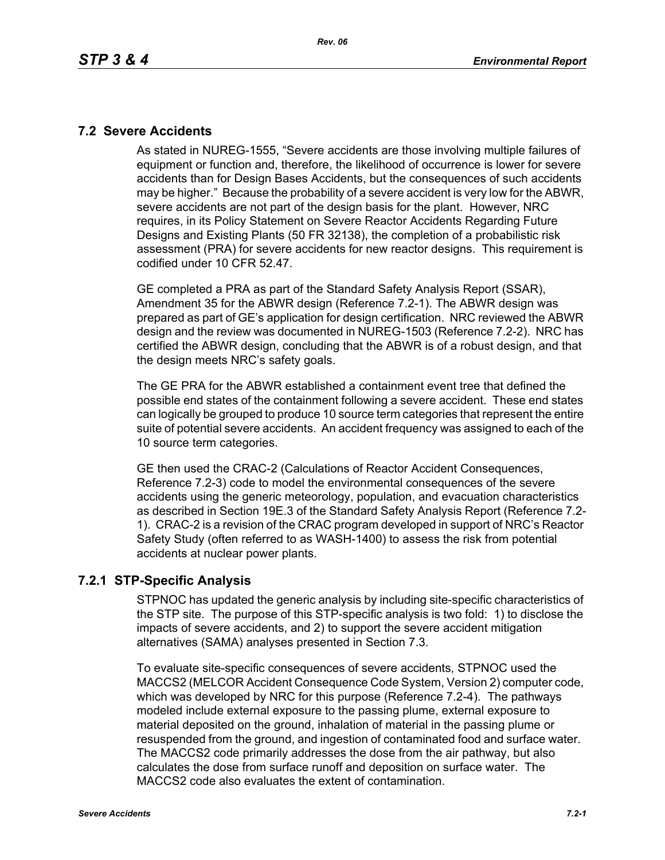#### **7.2 Severe Accidents**

As stated in NUREG-1555, "Severe accidents are those involving multiple failures of equipment or function and, therefore, the likelihood of occurrence is lower for severe accidents than for Design Bases Accidents, but the consequences of such accidents may be higher." Because the probability of a severe accident is very low for the ABWR, severe accidents are not part of the design basis for the plant. However, NRC requires, in its Policy Statement on Severe Reactor Accidents Regarding Future Designs and Existing Plants (50 FR 32138), the completion of a probabilistic risk assessment (PRA) for severe accidents for new reactor designs. This requirement is codified under 10 CFR 52.47.

GE completed a PRA as part of the Standard Safety Analysis Report (SSAR), Amendment 35 for the ABWR design (Reference 7.2-1). The ABWR design was prepared as part of GE's application for design certification. NRC reviewed the ABWR design and the review was documented in NUREG-1503 (Reference 7.2-2). NRC has certified the ABWR design, concluding that the ABWR is of a robust design, and that the design meets NRC's safety goals.

The GE PRA for the ABWR established a containment event tree that defined the possible end states of the containment following a severe accident. These end states can logically be grouped to produce 10 source term categories that represent the entire suite of potential severe accidents. An accident frequency was assigned to each of the 10 source term categories.

GE then used the CRAC-2 (Calculations of Reactor Accident Consequences, Reference 7.2-3) code to model the environmental consequences of the severe accidents using the generic meteorology, population, and evacuation characteristics as described in Section 19E.3 of the Standard Safety Analysis Report (Reference 7.2- 1). CRAC-2 is a revision of the CRAC program developed in support of NRC's Reactor Safety Study (often referred to as WASH-1400) to assess the risk from potential accidents at nuclear power plants.

## **7.2.1 STP-Specific Analysis**

STPNOC has updated the generic analysis by including site-specific characteristics of the STP site. The purpose of this STP-specific analysis is two fold: 1) to disclose the impacts of severe accidents, and 2) to support the severe accident mitigation alternatives (SAMA) analyses presented in Section 7.3.

To evaluate site-specific consequences of severe accidents, STPNOC used the MACCS2 (MELCOR Accident Consequence Code System, Version 2) computer code, which was developed by NRC for this purpose (Reference 7.2-4). The pathways modeled include external exposure to the passing plume, external exposure to material deposited on the ground, inhalation of material in the passing plume or resuspended from the ground, and ingestion of contaminated food and surface water. The MACCS2 code primarily addresses the dose from the air pathway, but also calculates the dose from surface runoff and deposition on surface water. The MACCS2 code also evaluates the extent of contamination.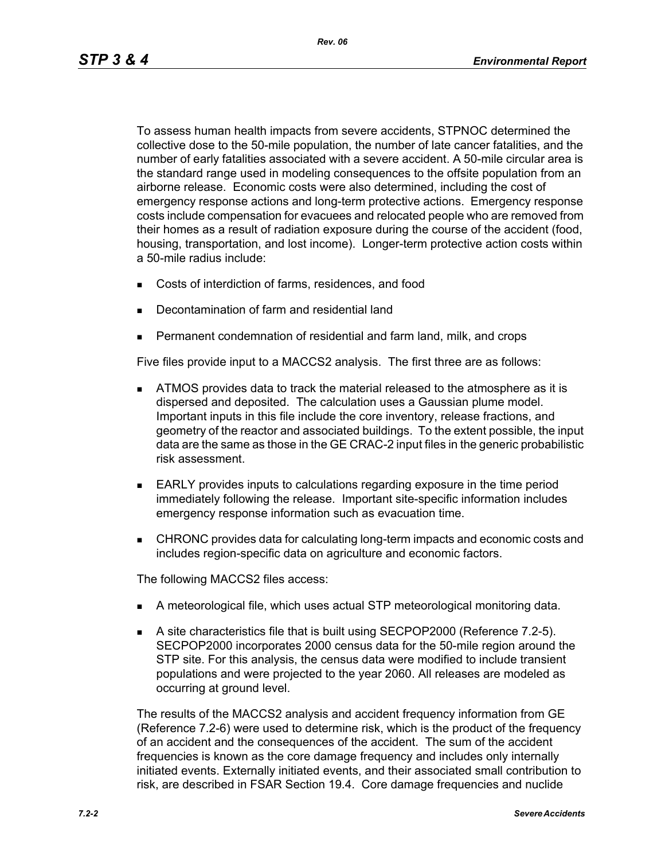To assess human health impacts from severe accidents, STPNOC determined the collective dose to the 50-mile population, the number of late cancer fatalities, and the number of early fatalities associated with a severe accident. A 50-mile circular area is the standard range used in modeling consequences to the offsite population from an airborne release. Economic costs were also determined, including the cost of emergency response actions and long-term protective actions. Emergency response costs include compensation for evacuees and relocated people who are removed from their homes as a result of radiation exposure during the course of the accident (food, housing, transportation, and lost income). Longer-term protective action costs within a 50-mile radius include:

- Costs of interdiction of farms, residences, and food
- Decontamination of farm and residential land
- Permanent condemnation of residential and farm land, milk, and crops

Five files provide input to a MACCS2 analysis. The first three are as follows:

- **ATMOS** provides data to track the material released to the atmosphere as it is dispersed and deposited. The calculation uses a Gaussian plume model. Important inputs in this file include the core inventory, release fractions, and geometry of the reactor and associated buildings. To the extent possible, the input data are the same as those in the GE CRAC-2 input files in the generic probabilistic risk assessment.
- EARLY provides inputs to calculations regarding exposure in the time period immediately following the release. Important site-specific information includes emergency response information such as evacuation time.
- CHRONC provides data for calculating long-term impacts and economic costs and includes region-specific data on agriculture and economic factors.

The following MACCS2 files access:

- A meteorological file, which uses actual STP meteorological monitoring data.
- A site characteristics file that is built using SECPOP2000 (Reference 7.2-5). SECPOP2000 incorporates 2000 census data for the 50-mile region around the STP site. For this analysis, the census data were modified to include transient populations and were projected to the year 2060. All releases are modeled as occurring at ground level.

The results of the MACCS2 analysis and accident frequency information from GE (Reference 7.2-6) were used to determine risk, which is the product of the frequency of an accident and the consequences of the accident. The sum of the accident frequencies is known as the core damage frequency and includes only internally initiated events. Externally initiated events, and their associated small contribution to risk, are described in FSAR Section 19.4. Core damage frequencies and nuclide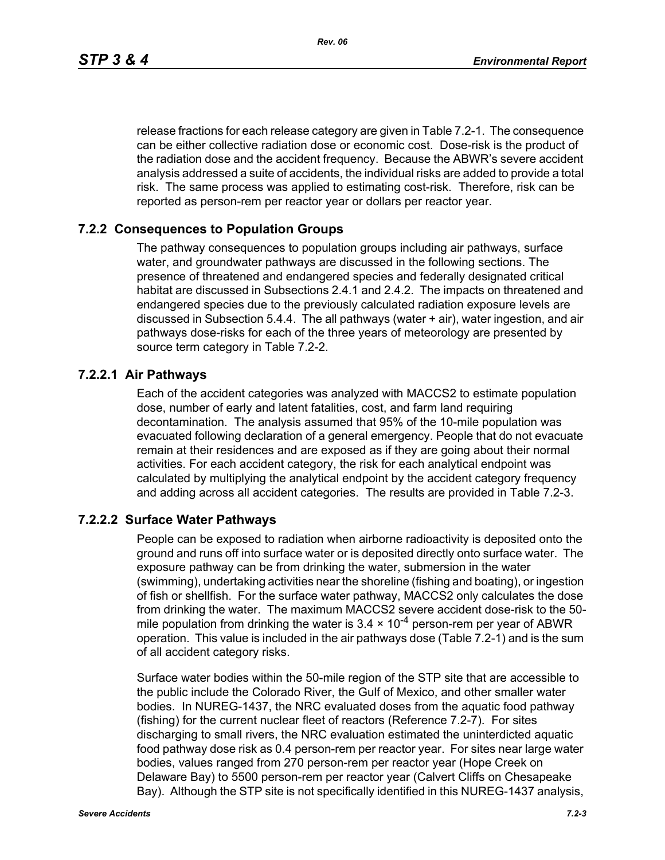*Rev. 06*

release fractions for each release category are given in Table 7.2-1. The consequence can be either collective radiation dose or economic cost. Dose-risk is the product of the radiation dose and the accident frequency. Because the ABWR's severe accident analysis addressed a suite of accidents, the individual risks are added to provide a total risk. The same process was applied to estimating cost-risk. Therefore, risk can be reported as person-rem per reactor year or dollars per reactor year.

#### **7.2.2 Consequences to Population Groups**

The pathway consequences to population groups including air pathways, surface water, and groundwater pathways are discussed in the following sections. The presence of threatened and endangered species and federally designated critical habitat are discussed in Subsections 2.4.1 and 2.4.2. The impacts on threatened and endangered species due to the previously calculated radiation exposure levels are discussed in Subsection 5.4.4. The all pathways (water + air), water ingestion, and air pathways dose-risks for each of the three years of meteorology are presented by source term category in Table 7.2-2.

#### **7.2.2.1 Air Pathways**

Each of the accident categories was analyzed with MACCS2 to estimate population dose, number of early and latent fatalities, cost, and farm land requiring decontamination. The analysis assumed that 95% of the 10-mile population was evacuated following declaration of a general emergency. People that do not evacuate remain at their residences and are exposed as if they are going about their normal activities. For each accident category, the risk for each analytical endpoint was calculated by multiplying the analytical endpoint by the accident category frequency and adding across all accident categories. The results are provided in Table 7.2-3.

## **7.2.2.2 Surface Water Pathways**

People can be exposed to radiation when airborne radioactivity is deposited onto the ground and runs off into surface water or is deposited directly onto surface water. The exposure pathway can be from drinking the water, submersion in the water (swimming), undertaking activities near the shoreline (fishing and boating), or ingestion of fish or shellfish. For the surface water pathway, MACCS2 only calculates the dose from drinking the water. The maximum MACCS2 severe accident dose-risk to the 50 mile population from drinking the water is  $3.4 \times 10^{-4}$  person-rem per year of ABWR operation. This value is included in the air pathways dose (Table 7.2-1) and is the sum of all accident category risks.

Surface water bodies within the 50-mile region of the STP site that are accessible to the public include the Colorado River, the Gulf of Mexico, and other smaller water bodies. In NUREG-1437, the NRC evaluated doses from the aquatic food pathway (fishing) for the current nuclear fleet of reactors (Reference 7.2-7). For sites discharging to small rivers, the NRC evaluation estimated the uninterdicted aquatic food pathway dose risk as 0.4 person-rem per reactor year. For sites near large water bodies, values ranged from 270 person-rem per reactor year (Hope Creek on Delaware Bay) to 5500 person-rem per reactor year (Calvert Cliffs on Chesapeake Bay). Although the STP site is not specifically identified in this NUREG-1437 analysis,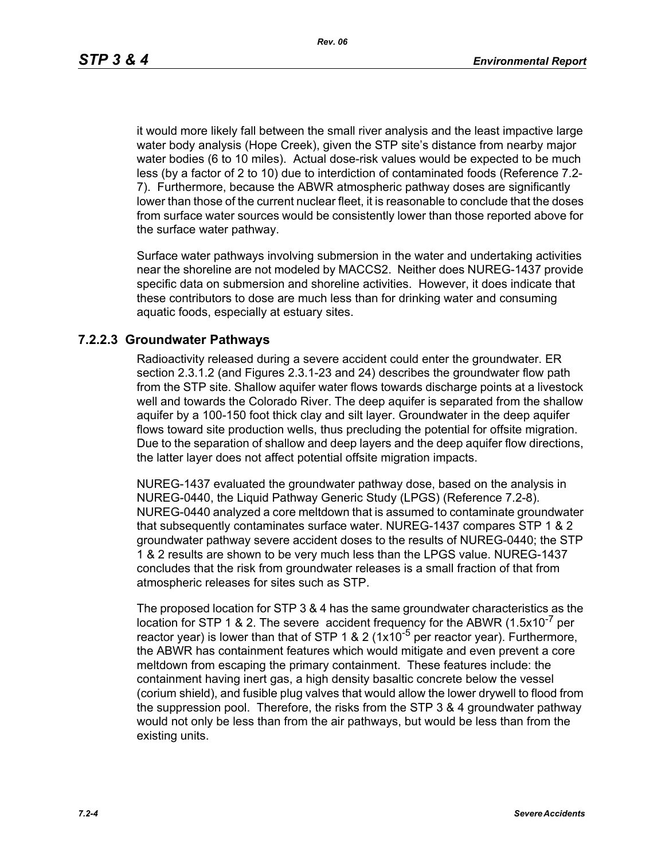it would more likely fall between the small river analysis and the least impactive large water body analysis (Hope Creek), given the STP site's distance from nearby major water bodies (6 to 10 miles). Actual dose-risk values would be expected to be much less (by a factor of 2 to 10) due to interdiction of contaminated foods (Reference 7.2- 7). Furthermore, because the ABWR atmospheric pathway doses are significantly lower than those of the current nuclear fleet, it is reasonable to conclude that the doses from surface water sources would be consistently lower than those reported above for the surface water pathway.

Surface water pathways involving submersion in the water and undertaking activities near the shoreline are not modeled by MACCS2. Neither does NUREG-1437 provide specific data on submersion and shoreline activities. However, it does indicate that these contributors to dose are much less than for drinking water and consuming aquatic foods, especially at estuary sites.

#### **7.2.2.3 Groundwater Pathways**

Radioactivity released during a severe accident could enter the groundwater. ER section 2.3.1.2 (and Figures 2.3.1-23 and 24) describes the groundwater flow path from the STP site. Shallow aquifer water flows towards discharge points at a livestock well and towards the Colorado River. The deep aquifer is separated from the shallow aquifer by a 100-150 foot thick clay and silt layer. Groundwater in the deep aquifer flows toward site production wells, thus precluding the potential for offsite migration. Due to the separation of shallow and deep layers and the deep aquifer flow directions, the latter layer does not affect potential offsite migration impacts.

NUREG-1437 evaluated the groundwater pathway dose, based on the analysis in NUREG-0440, the Liquid Pathway Generic Study (LPGS) (Reference 7.2-8). NUREG-0440 analyzed a core meltdown that is assumed to contaminate groundwater that subsequently contaminates surface water. NUREG-1437 compares STP 1 & 2 groundwater pathway severe accident doses to the results of NUREG-0440; the STP 1 & 2 results are shown to be very much less than the LPGS value. NUREG-1437 concludes that the risk from groundwater releases is a small fraction of that from atmospheric releases for sites such as STP.

The proposed location for STP 3 & 4 has the same groundwater characteristics as the location for STP 1 & 2. The severe accident frequency for the ABWR  $(1.5x10^{-7}$  per reactor year) is lower than that of STP 1 & 2 ( $1x10^{-5}$  per reactor year). Furthermore, the ABWR has containment features which would mitigate and even prevent a core meltdown from escaping the primary containment. These features include: the containment having inert gas, a high density basaltic concrete below the vessel (corium shield), and fusible plug valves that would allow the lower drywell to flood from the suppression pool. Therefore, the risks from the STP 3 & 4 groundwater pathway would not only be less than from the air pathways, but would be less than from the existing units.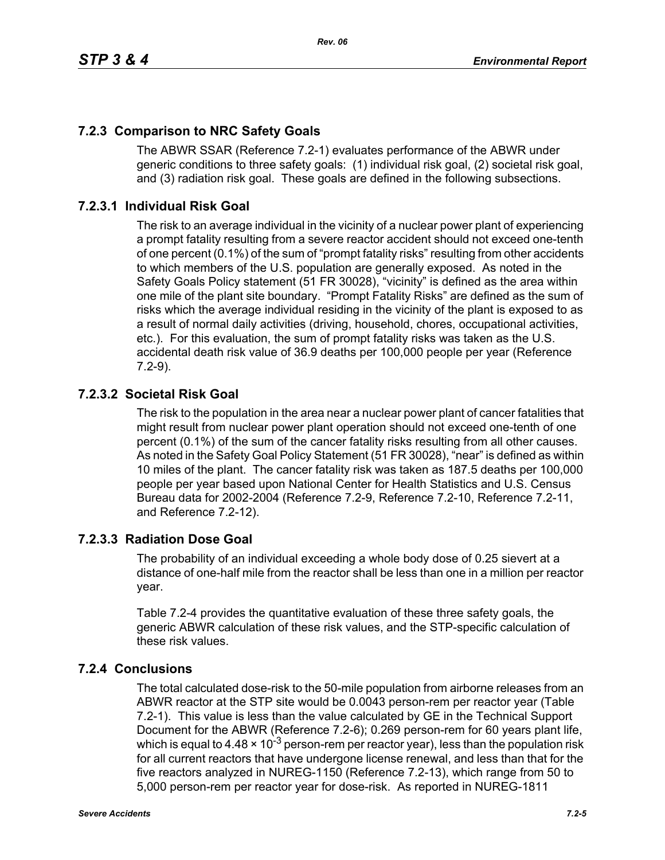# **7.2.3 Comparison to NRC Safety Goals**

The ABWR SSAR (Reference 7.2-1) evaluates performance of the ABWR under generic conditions to three safety goals: (1) individual risk goal, (2) societal risk goal, and (3) radiation risk goal. These goals are defined in the following subsections.

## **7.2.3.1 Individual Risk Goal**

The risk to an average individual in the vicinity of a nuclear power plant of experiencing a prompt fatality resulting from a severe reactor accident should not exceed one-tenth of one percent (0.1%) of the sum of "prompt fatality risks" resulting from other accidents to which members of the U.S. population are generally exposed. As noted in the Safety Goals Policy statement (51 FR 30028), "vicinity" is defined as the area within one mile of the plant site boundary. "Prompt Fatality Risks" are defined as the sum of risks which the average individual residing in the vicinity of the plant is exposed to as a result of normal daily activities (driving, household, chores, occupational activities, etc.). For this evaluation, the sum of prompt fatality risks was taken as the U.S. accidental death risk value of 36.9 deaths per 100,000 people per year (Reference 7.2-9).

## **7.2.3.2 Societal Risk Goal**

The risk to the population in the area near a nuclear power plant of cancer fatalities that might result from nuclear power plant operation should not exceed one-tenth of one percent (0.1%) of the sum of the cancer fatality risks resulting from all other causes. As noted in the Safety Goal Policy Statement (51 FR 30028), "near" is defined as within 10 miles of the plant. The cancer fatality risk was taken as 187.5 deaths per 100,000 people per year based upon National Center for Health Statistics and U.S. Census Bureau data for 2002-2004 (Reference 7.2-9, Reference 7.2-10, Reference 7.2-11, and Reference 7.2-12).

## **7.2.3.3 Radiation Dose Goal**

The probability of an individual exceeding a whole body dose of 0.25 sievert at a distance of one-half mile from the reactor shall be less than one in a million per reactor year.

Table 7.2-4 provides the quantitative evaluation of these three safety goals, the generic ABWR calculation of these risk values, and the STP-specific calculation of these risk values.

## **7.2.4 Conclusions**

The total calculated dose-risk to the 50-mile population from airborne releases from an ABWR reactor at the STP site would be 0.0043 person-rem per reactor year (Table 7.2-1). This value is less than the value calculated by GE in the Technical Support Document for the ABWR (Reference 7.2-6); 0.269 person-rem for 60 years plant life, which is equal to 4.48  $\times$  10<sup>-3</sup> person-rem per reactor year), less than the population risk for all current reactors that have undergone license renewal, and less than that for the five reactors analyzed in NUREG-1150 (Reference 7.2-13), which range from 50 to 5,000 person-rem per reactor year for dose-risk. As reported in NUREG-1811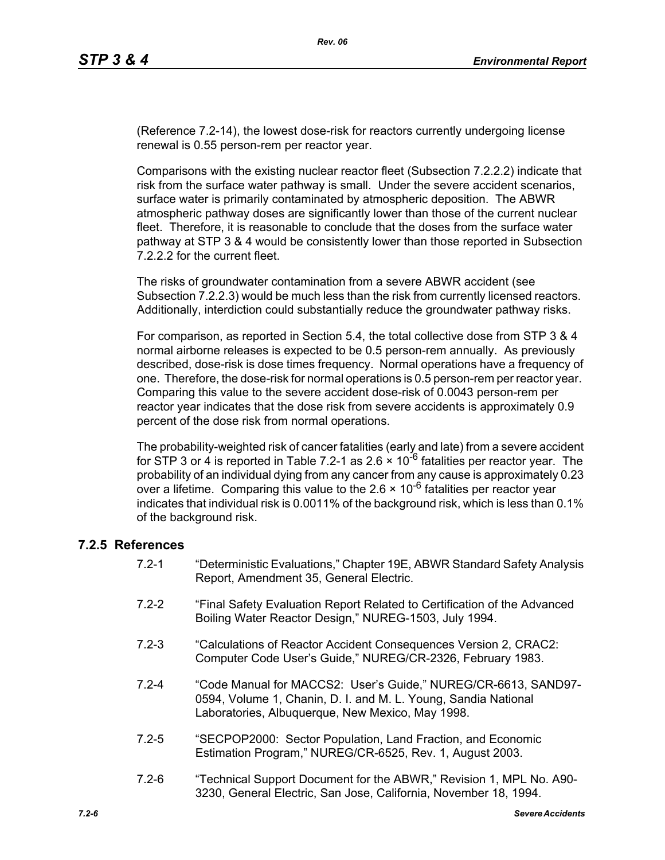(Reference 7.2-14), the lowest dose-risk for reactors currently undergoing license renewal is 0.55 person-rem per reactor year.

Comparisons with the existing nuclear reactor fleet (Subsection 7.2.2.2) indicate that risk from the surface water pathway is small. Under the severe accident scenarios, surface water is primarily contaminated by atmospheric deposition. The ABWR atmospheric pathway doses are significantly lower than those of the current nuclear fleet. Therefore, it is reasonable to conclude that the doses from the surface water pathway at STP 3 & 4 would be consistently lower than those reported in Subsection 7.2.2.2 for the current fleet.

The risks of groundwater contamination from a severe ABWR accident (see Subsection 7.2.2.3) would be much less than the risk from currently licensed reactors. Additionally, interdiction could substantially reduce the groundwater pathway risks.

For comparison, as reported in Section 5.4, the total collective dose from STP 3 & 4 normal airborne releases is expected to be 0.5 person-rem annually. As previously described, dose-risk is dose times frequency. Normal operations have a frequency of one. Therefore, the dose-risk for normal operations is 0.5 person-rem per reactor year. Comparing this value to the severe accident dose-risk of 0.0043 person-rem per reactor year indicates that the dose risk from severe accidents is approximately 0.9 percent of the dose risk from normal operations.

The probability-weighted risk of cancer fatalities (early and late) from a severe accident for STP 3 or 4 is reported in Table 7.2-1 as 2.6  $\times$  10<sup>-6</sup> fatalities per reactor year. The probability of an individual dying from any cancer from any cause is approximately 0.23 over a lifetime. Comparing this value to the  $2.6 \times 10^{-6}$  fatalities per reactor year indicates that individual risk is 0.0011% of the background risk, which is less than 0.1% of the background risk.

#### **7.2.5 References**

- 7.2-1 "Deterministic Evaluations," Chapter 19E, ABWR Standard Safety Analysis Report, Amendment 35, General Electric.
- 7.2-2 "Final Safety Evaluation Report Related to Certification of the Advanced Boiling Water Reactor Design," NUREG-1503, July 1994.
- 7.2-3 "Calculations of Reactor Accident Consequences Version 2, CRAC2: Computer Code User's Guide," NUREG/CR-2326, February 1983.
- 7.2-4 "Code Manual for MACCS2: User's Guide," NUREG/CR-6613, SAND97- 0594, Volume 1, Chanin, D. I. and M. L. Young, Sandia National Laboratories, Albuquerque, New Mexico, May 1998.
- 7.2-5 "SECPOP2000: Sector Population, Land Fraction, and Economic Estimation Program," NUREG/CR-6525, Rev. 1, August 2003.
- 7.2-6 "Technical Support Document for the ABWR," Revision 1, MPL No. A90- 3230, General Electric, San Jose, California, November 18, 1994.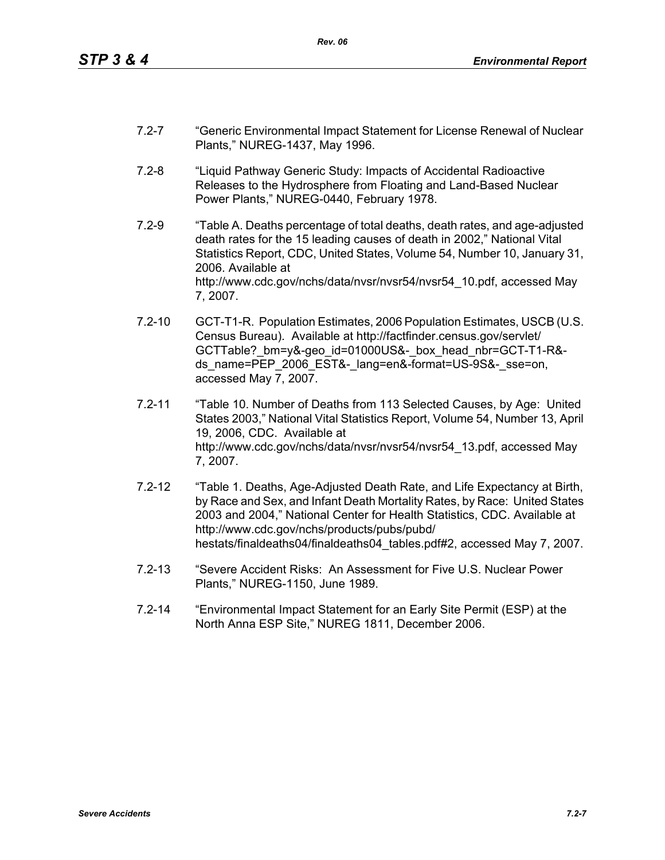- 7.2-7 "Generic Environmental Impact Statement for License Renewal of Nuclear Plants," NUREG-1437, May 1996.
- 7.2-8 "Liquid Pathway Generic Study: Impacts of Accidental Radioactive Releases to the Hydrosphere from Floating and Land-Based Nuclear Power Plants," NUREG-0440, February 1978.
- 7.2-9 "Table A. Deaths percentage of total deaths, death rates, and age-adjusted death rates for the 15 leading causes of death in 2002," National Vital Statistics Report, CDC, United States, Volume 54, Number 10, January 31, 2006. Available at http://www.cdc.gov/nchs/data/nvsr/nvsr54/nvsr54\_10.pdf, accessed May 7, 2007.
- 7.2-10 GCT-T1-R. Population Estimates, 2006 Population Estimates, USCB (U.S. Census Bureau). Available at http://factfinder.census.gov/servlet/ GCTTable? bm=y&-geo\_id=01000US&-\_box\_head\_nbr=GCT-T1-R&ds\_name=PEP\_2006\_EST&-\_lang=en&-format=US-9S&-\_sse=on. accessed May 7, 2007.
- 7.2-11 "Table 10. Number of Deaths from 113 Selected Causes, by Age: United States 2003," National Vital Statistics Report, Volume 54, Number 13, April 19, 2006, CDC. Available at http://www.cdc.gov/nchs/data/nvsr/nvsr54/nvsr54\_13.pdf, accessed May 7, 2007.
- 7.2-12 "Table 1. Deaths, Age-Adjusted Death Rate, and Life Expectancy at Birth, by Race and Sex, and Infant Death Mortality Rates, by Race: United States 2003 and 2004," National Center for Health Statistics, CDC. Available at http://www.cdc.gov/nchs/products/pubs/pubd/ hestats/finaldeaths04/finaldeaths04\_tables.pdf#2, accessed May 7, 2007.
- 7.2-13 "Severe Accident Risks: An Assessment for Five U.S. Nuclear Power Plants," NUREG-1150, June 1989.
- 7.2-14 "Environmental Impact Statement for an Early Site Permit (ESP) at the North Anna ESP Site," NUREG 1811, December 2006.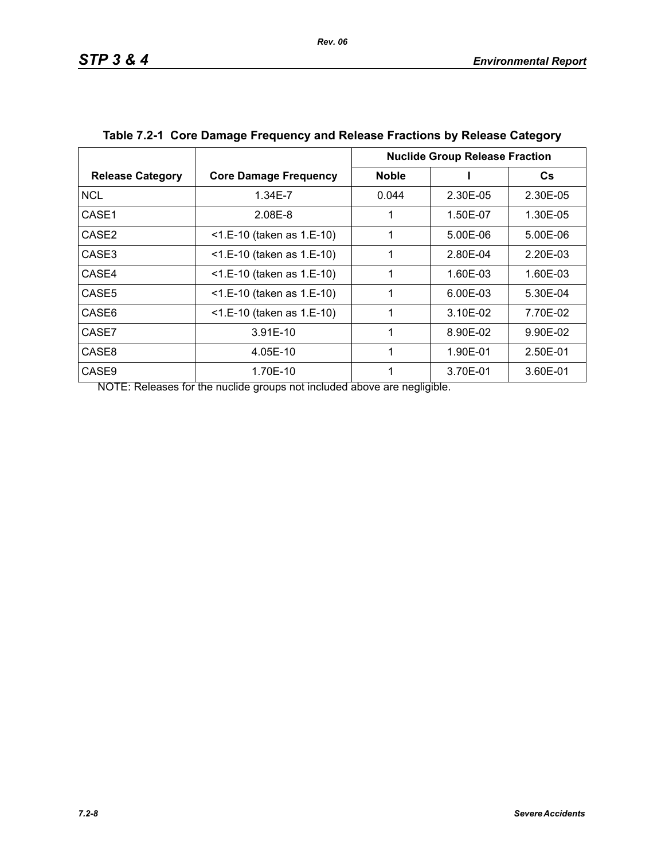|                         |                              | <b>Nuclide Group Release Fraction</b> |          |          |
|-------------------------|------------------------------|---------------------------------------|----------|----------|
| <b>Release Category</b> | <b>Core Damage Frequency</b> | <b>Noble</b>                          |          | Cs       |
| <b>NCL</b>              | 1.34E-7                      | 0.044                                 | 2.30E-05 | 2.30E-05 |
| CASE1                   | 2.08E-8                      |                                       | 1.50E-07 | 1.30E-05 |
| CASE <sub>2</sub>       | $<$ 1.E-10 (taken as 1.E-10) | 1                                     | 5.00E-06 | 5.00E-06 |
| CASE3                   | $<$ 1.E-10 (taken as 1.E-10) | 1                                     | 2.80E-04 | 2.20E-03 |
| CASE4                   | <1.E-10 (taken as 1.E-10)    | 1                                     | 1.60E-03 | 1.60E-03 |
| CASE <sub>5</sub>       | $<$ 1.E-10 (taken as 1.E-10) |                                       | 6.00E-03 | 5.30E-04 |
| CASE6                   | $<$ 1.E-10 (taken as 1.E-10) | 1                                     | 3.10E-02 | 7.70E-02 |
| CASE7                   | 3.91E-10                     | 1                                     | 8.90E-02 | 9.90E-02 |
| CASE8                   | 4.05E-10                     | 1                                     | 1.90E-01 | 2.50E-01 |
| CASE <sub>9</sub>       | 1.70E-10                     |                                       | 3.70E-01 | 3.60E-01 |

| Table 7.2-1 Core Damage Frequency and Release Fractions by Release Category |  |
|-----------------------------------------------------------------------------|--|
|                                                                             |  |

NOTE: Releases for the nuclide groups not included above are negligible.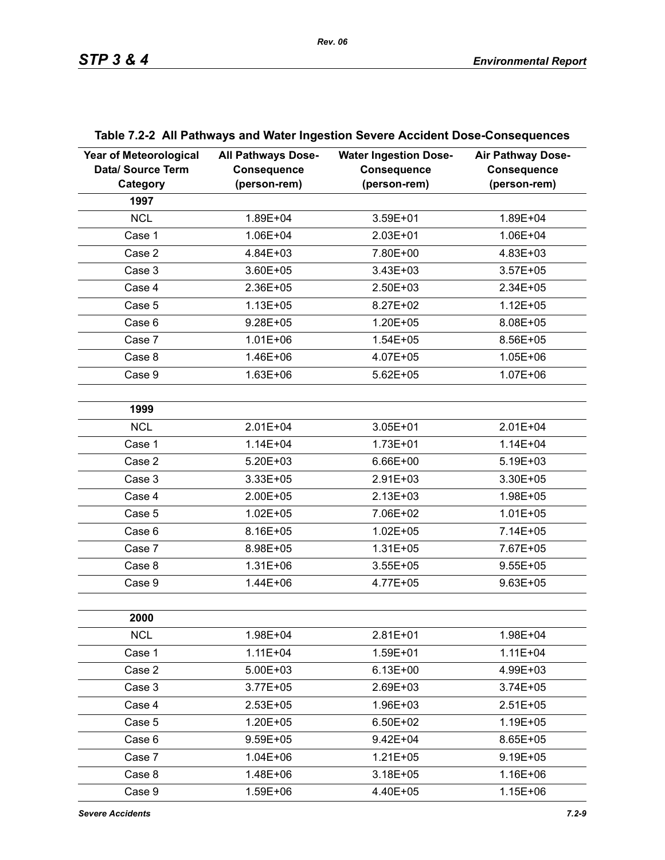| <b>Year of Meteorological</b><br>Data/ Source Term<br>Category | <b>All Pathways Dose-</b><br><b>Consequence</b><br>(person-rem) | <b>Water Ingestion Dose-</b><br><b>Consequence</b><br>(person-rem) | Air Pathway Dose-<br><b>Consequence</b><br>(person-rem) |
|----------------------------------------------------------------|-----------------------------------------------------------------|--------------------------------------------------------------------|---------------------------------------------------------|
| 1997                                                           |                                                                 |                                                                    |                                                         |
| <b>NCL</b>                                                     | 1.89E+04                                                        | 3.59E+01                                                           | 1.89E+04                                                |
| Case 1                                                         | 1.06E+04                                                        | 2.03E+01                                                           | 1.06E+04                                                |
| Case 2                                                         | 4.84E+03                                                        | 7.80E+00                                                           | 4.83E+03                                                |
| Case 3                                                         | 3.60E+05                                                        | 3.43E+03                                                           | $3.57E + 05$                                            |
| Case 4                                                         | 2.36E+05                                                        | 2.50E+03                                                           | 2.34E+05                                                |
| Case 5                                                         | $1.13E + 05$                                                    | 8.27E+02                                                           | $1.12E + 05$                                            |
| Case 6                                                         | $9.28E + 05$                                                    | 1.20E+05                                                           | 8.08E+05                                                |
| Case 7                                                         | $1.01E + 06$                                                    | $1.54E + 05$                                                       | 8.56E+05                                                |
| Case 8                                                         | 1.46E+06                                                        | 4.07E+05                                                           | $1.05E + 06$                                            |
| Case 9                                                         | 1.63E+06                                                        | $5.62E + 05$                                                       | 1.07E+06                                                |
|                                                                |                                                                 |                                                                    |                                                         |
| 1999                                                           |                                                                 |                                                                    |                                                         |
| <b>NCL</b>                                                     | $2.01E + 04$                                                    | 3.05E+01                                                           | 2.01E+04                                                |
| Case 1                                                         | $1.14E + 04$                                                    | $1.73E + 01$                                                       | $1.14E + 04$                                            |
| Case 2                                                         | 5.20E+03                                                        | 6.66E+00                                                           | 5.19E+03                                                |
| Case 3                                                         | 3.33E+05                                                        | 2.91E+03                                                           | 3.30E+05                                                |
| Case 4                                                         | 2.00E+05                                                        | $2.13E + 03$                                                       | 1.98E+05                                                |
| Case 5                                                         | $1.02E + 05$                                                    | 7.06E+02                                                           | $1.01E + 05$                                            |
| Case 6                                                         | 8.16E+05                                                        | $1.02E + 05$                                                       | 7.14E+05                                                |
| Case 7                                                         | 8.98E+05                                                        | $1.31E + 05$                                                       | 7.67E+05                                                |
| Case 8                                                         | $1.31E + 06$                                                    | $3.55E + 05$                                                       | $9.55E + 05$                                            |
| Case 9                                                         | 1.44E+06                                                        | 4.77E+05                                                           | $9.63E + 05$                                            |
|                                                                |                                                                 |                                                                    |                                                         |
| 2000                                                           |                                                                 |                                                                    |                                                         |
| <b>NCL</b>                                                     | 1.98E+04                                                        | $2.81E + 01$                                                       | 1.98E+04                                                |
| Case 1                                                         | $1.11E + 04$                                                    | 1.59E+01                                                           | $1.11E + 04$                                            |
| Case 2                                                         | $5.00E + 03$                                                    | $6.13E + 00$                                                       | 4.99E+03                                                |
| Case 3                                                         | $3.77E + 05$                                                    | 2.69E+03                                                           | $3.74E + 05$                                            |
| Case 4                                                         | $2.53E+05$                                                      | 1.96E+03                                                           | $2.51E+05$                                              |
| Case 5                                                         | $1.20E + 05$                                                    | 6.50E+02                                                           | 1.19E+05                                                |
| Case 6                                                         | $9.59E + 05$                                                    | $9.42E + 04$                                                       | 8.65E+05                                                |
| Case 7                                                         | $1.04E + 06$                                                    | $1.21E + 05$                                                       | 9.19E+05                                                |
| Case 8                                                         | 1.48E+06                                                        | $3.18E + 05$                                                       | 1.16E+06                                                |
| Case 9                                                         | 1.59E+06                                                        | 4.40E+05                                                           | 1.15E+06                                                |

## **Table 7.2-2 All Pathways and Water Ingestion Severe Accident Dose-Consequences**